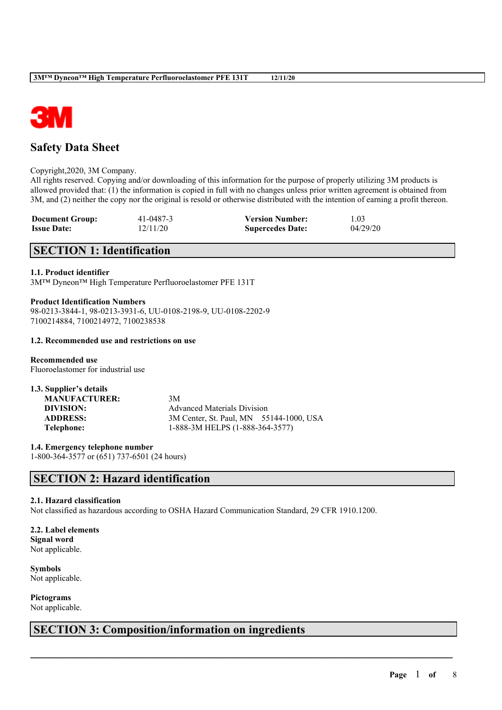

# **Safety Data Sheet**

Copyright,2020, 3M Company.

All rights reserved. Copying and/or downloading of this information for the purpose of properly utilizing 3M products is allowed provided that: (1) the information is copied in full with no changes unless prior written agreement is obtained from 3M, and (2) neither the copy nor the original is resold or otherwise distributed with the intention of earning a profit thereon.

| <b>Document Group:</b> | 41-0487-3 | <b>Version Number:</b>  | 1.03     |
|------------------------|-----------|-------------------------|----------|
| <b>Issue Date:</b>     | 12/11/20  | <b>Supercedes Date:</b> | 04/29/20 |

# **SECTION 1: Identification**

## **1.1. Product identifier**

3M™ Dyneon™ High Temperature Perfluoroelastomer PFE 131T

**Product Identification Numbers** 98-0213-3844-1, 98-0213-3931-6, UU-0108-2198-9, UU-0108-2202-9 7100214884, 7100214972, 7100238538

### **1.2. Recommended use and restrictions on use**

**Recommended use** Fluoroelastomer for industrial use

| 1.3. Supplier's details |                                         |
|-------------------------|-----------------------------------------|
| <b>MANUFACTURER:</b>    | 3M                                      |
| DIVISION:               | Advanced Materials Division             |
| <b>ADDRESS:</b>         | 3M Center, St. Paul, MN 55144-1000, USA |
| Telephone:              | 1-888-3M HELPS (1-888-364-3577)         |

**1.4. Emergency telephone number** 1-800-364-3577 or (651) 737-6501 (24 hours)

# **SECTION 2: Hazard identification**

## **2.1. Hazard classification**

Not classified as hazardous according to OSHA Hazard Communication Standard, 29 CFR 1910.1200.

 $\mathcal{L}_\mathcal{L} = \mathcal{L}_\mathcal{L} = \mathcal{L}_\mathcal{L} = \mathcal{L}_\mathcal{L} = \mathcal{L}_\mathcal{L} = \mathcal{L}_\mathcal{L} = \mathcal{L}_\mathcal{L} = \mathcal{L}_\mathcal{L} = \mathcal{L}_\mathcal{L} = \mathcal{L}_\mathcal{L} = \mathcal{L}_\mathcal{L} = \mathcal{L}_\mathcal{L} = \mathcal{L}_\mathcal{L} = \mathcal{L}_\mathcal{L} = \mathcal{L}_\mathcal{L} = \mathcal{L}_\mathcal{L} = \mathcal{L}_\mathcal{L}$ 

**2.2. Label elements Signal word** Not applicable.

**Symbols** Not applicable.

**Pictograms**

Not applicable.

# **SECTION 3: Composition/information on ingredients**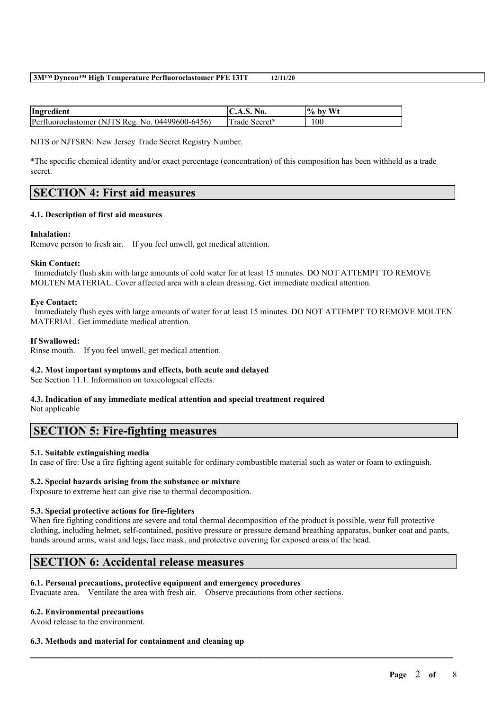| Ingredient                                       | No.                 | Wt<br>$\%$ by |
|--------------------------------------------------|---------------------|---------------|
| Perfluoroelastomer (NJTS Reg. No. 04499600-6456) | . Secret*<br>l rade | 100           |

NJTS or NJTSRN: New Jersey Trade Secret Registry Number.

\*The specific chemical identity and/or exact percentage (concentration) of this composition has been withheld as a trade secret.

## **SECTION 4: First aid measures**

### **4.1. Description of first aid measures**

### **Inhalation:**

Remove person to fresh air. If you feel unwell, get medical attention.

#### **Skin Contact:**

Immediately flush skin with large amounts of cold water for at least 15 minutes. DO NOT ATTEMPT TO REMOVE MOLTEN MATERIAL. Cover affected area with a clean dressing. Get immediate medical attention.

### **Eye Contact:**

Immediately flush eyes with large amounts of water for at least 15 minutes. DO NOT ATTEMPT TO REMOVE MOLTEN MATERIAL. Get immediate medical attention.

### **If Swallowed:**

Rinse mouth. If you feel unwell, get medical attention.

## **4.2. Most important symptoms and effects, both acute and delayed**

See Section 11.1. Information on toxicological effects.

# **4.3. Indication of any immediate medical attention and special treatment required**

Not applicable

# **SECTION 5: Fire-fighting measures**

## **5.1. Suitable extinguishing media**

In case of fire: Use a fire fighting agent suitable for ordinary combustible material such as water or foam to extinguish.

#### **5.2. Special hazards arising from the substance or mixture**

Exposure to extreme heat can give rise to thermal decomposition.

## **5.3. Special protective actions for fire-fighters**

When fire fighting conditions are severe and total thermal decomposition of the product is possible, wear full protective clothing, including helmet, self-contained, positive pressure or pressure demand breathing apparatus, bunker coat and pants, bands around arms, waist and legs, face mask, and protective covering for exposed areas of the head.

 $\mathcal{L}_\mathcal{L} = \mathcal{L}_\mathcal{L} = \mathcal{L}_\mathcal{L} = \mathcal{L}_\mathcal{L} = \mathcal{L}_\mathcal{L} = \mathcal{L}_\mathcal{L} = \mathcal{L}_\mathcal{L} = \mathcal{L}_\mathcal{L} = \mathcal{L}_\mathcal{L} = \mathcal{L}_\mathcal{L} = \mathcal{L}_\mathcal{L} = \mathcal{L}_\mathcal{L} = \mathcal{L}_\mathcal{L} = \mathcal{L}_\mathcal{L} = \mathcal{L}_\mathcal{L} = \mathcal{L}_\mathcal{L} = \mathcal{L}_\mathcal{L}$ 

## **SECTION 6: Accidental release measures**

## **6.1. Personal precautions, protective equipment and emergency procedures**

Evacuate area. Ventilate the area with fresh air. Observe precautions from other sections.

## **6.2. Environmental precautions**

Avoid release to the environment.

## **6.3. Methods and material for containment and cleaning up**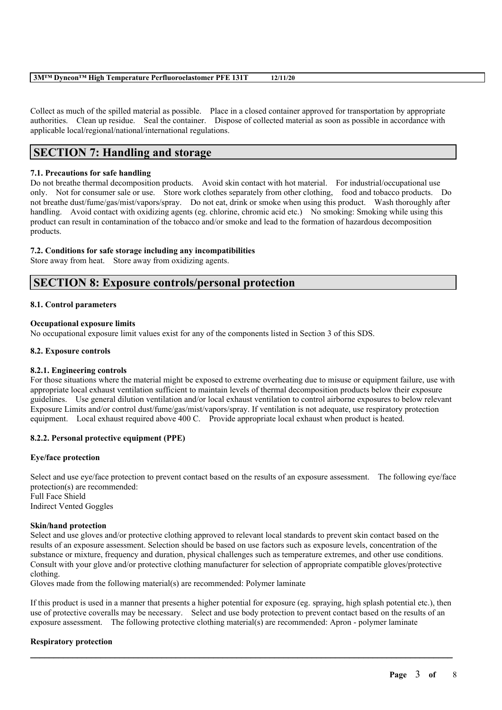Collect as much of the spilled material as possible. Place in a closed container approved for transportation by appropriate authorities. Clean up residue. Seal the container. Dispose of collected material as soon as possible in accordance with applicable local/regional/national/international regulations.

# **SECTION 7: Handling and storage**

## **7.1. Precautions for safe handling**

Do not breathe thermal decomposition products. Avoid skin contact with hot material. For industrial/occupational use only. Not for consumer sale or use. Store work clothes separately from other clothing, food and tobacco products. Do not breathe dust/fume/gas/mist/vapors/spray. Do not eat, drink or smoke when using this product. Wash thoroughly after handling. Avoid contact with oxidizing agents (eg. chlorine, chromic acid etc.) No smoking: Smoking while using this product can result in contamination of the tobacco and/or smoke and lead to the formation of hazardous decomposition products.

## **7.2. Conditions for safe storage including any incompatibilities**

Store away from heat. Store away from oxidizing agents.

# **SECTION 8: Exposure controls/personal protection**

## **8.1. Control parameters**

## **Occupational exposure limits**

No occupational exposure limit values exist for any of the components listed in Section 3 of this SDS.

## **8.2. Exposure controls**

## **8.2.1. Engineering controls**

For those situations where the material might be exposed to extreme overheating due to misuse or equipment failure, use with appropriate local exhaust ventilation sufficient to maintain levels of thermal decomposition products below their exposure guidelines. Use general dilution ventilation and/or local exhaust ventilation to control airborne exposures to below relevant Exposure Limits and/or control dust/fume/gas/mist/vapors/spray. If ventilation is not adequate, use respiratory protection equipment. Local exhaust required above 400 C. Provide appropriate local exhaust when product is heated.

## **8.2.2. Personal protective equipment (PPE)**

## **Eye/face protection**

Select and use eye/face protection to prevent contact based on the results of an exposure assessment. The following eye/face protection(s) are recommended: Full Face Shield Indirect Vented Goggles

## **Skin/hand protection**

Select and use gloves and/or protective clothing approved to relevant local standards to prevent skin contact based on the results of an exposure assessment. Selection should be based on use factors such as exposure levels, concentration of the substance or mixture, frequency and duration, physical challenges such as temperature extremes, and other use conditions. Consult with your glove and/or protective clothing manufacturer for selection of appropriate compatible gloves/protective clothing.

Gloves made from the following material(s) are recommended: Polymer laminate

If this product is used in a manner that presents a higher potential for exposure (eg. spraying, high splash potential etc.), then use of protective coveralls may be necessary. Select and use body protection to prevent contact based on the results of an exposure assessment. The following protective clothing material(s) are recommended: Apron - polymer laminate

 $\mathcal{L}_\mathcal{L} = \mathcal{L}_\mathcal{L} = \mathcal{L}_\mathcal{L} = \mathcal{L}_\mathcal{L} = \mathcal{L}_\mathcal{L} = \mathcal{L}_\mathcal{L} = \mathcal{L}_\mathcal{L} = \mathcal{L}_\mathcal{L} = \mathcal{L}_\mathcal{L} = \mathcal{L}_\mathcal{L} = \mathcal{L}_\mathcal{L} = \mathcal{L}_\mathcal{L} = \mathcal{L}_\mathcal{L} = \mathcal{L}_\mathcal{L} = \mathcal{L}_\mathcal{L} = \mathcal{L}_\mathcal{L} = \mathcal{L}_\mathcal{L}$ 

## **Respiratory protection**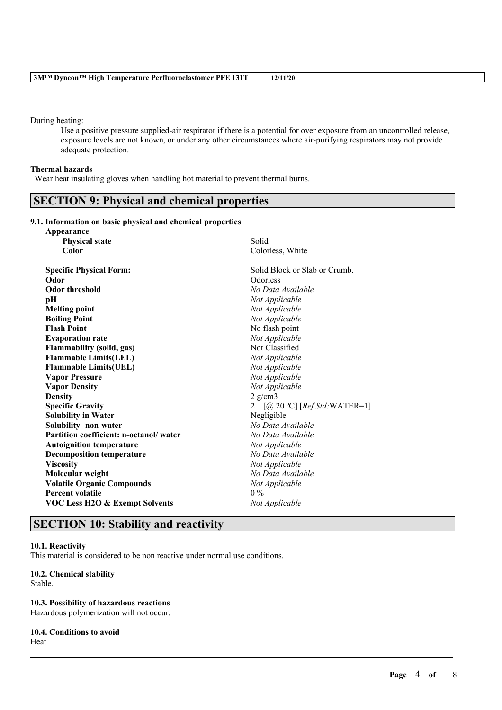During heating:

Use a positive pressure supplied-air respirator if there is a potential for over exposure from an uncontrolled release, exposure levels are not known, or under any other circumstances where air-purifying respirators may not provide adequate protection.

#### **Thermal hazards**

Wear heat insulating gloves when handling hot material to prevent thermal burns.

## **SECTION 9: Physical and chemical properties**

### **9.1. Information on basic physical and chemical properties**

| Appearance                                |                                            |
|-------------------------------------------|--------------------------------------------|
| <b>Physical state</b>                     | Solid                                      |
| Color                                     | Colorless, White                           |
| <b>Specific Physical Form:</b>            | Solid Block or Slab or Crumb.              |
| Odor                                      | Odorless                                   |
| <b>Odor threshold</b>                     | No Data Available                          |
| pH                                        | Not Applicable                             |
| <b>Melting point</b>                      | Not Applicable                             |
| <b>Boiling Point</b>                      | Not Applicable                             |
| <b>Flash Point</b>                        | No flash point                             |
| <b>Evaporation rate</b>                   | Not Applicable                             |
| <b>Flammability (solid, gas)</b>          | Not Classified                             |
| <b>Flammable Limits(LEL)</b>              | Not Applicable                             |
| <b>Flammable Limits(UEL)</b>              | Not Applicable                             |
| <b>Vapor Pressure</b>                     | Not Applicable                             |
| <b>Vapor Density</b>                      | Not Applicable                             |
| <b>Density</b>                            | $2$ g/cm $3$                               |
| <b>Specific Gravity</b>                   | $\left[$ (@ 20 °C) $[RefStd:WATER=1]$<br>2 |
| <b>Solubility in Water</b>                | Negligible                                 |
| Solubility- non-water                     | No Data Available                          |
| Partition coefficient: n-octanol/water    | No Data Available                          |
| <b>Autoignition temperature</b>           | Not Applicable                             |
| <b>Decomposition temperature</b>          | No Data Available                          |
| <b>Viscosity</b>                          | Not Applicable                             |
| Molecular weight                          | No Data Available                          |
| <b>Volatile Organic Compounds</b>         | Not Applicable                             |
| <b>Percent volatile</b>                   | $0\%$                                      |
| <b>VOC Less H2O &amp; Exempt Solvents</b> | Not Applicable                             |

 $\mathcal{L}_\mathcal{L} = \mathcal{L}_\mathcal{L} = \mathcal{L}_\mathcal{L} = \mathcal{L}_\mathcal{L} = \mathcal{L}_\mathcal{L} = \mathcal{L}_\mathcal{L} = \mathcal{L}_\mathcal{L} = \mathcal{L}_\mathcal{L} = \mathcal{L}_\mathcal{L} = \mathcal{L}_\mathcal{L} = \mathcal{L}_\mathcal{L} = \mathcal{L}_\mathcal{L} = \mathcal{L}_\mathcal{L} = \mathcal{L}_\mathcal{L} = \mathcal{L}_\mathcal{L} = \mathcal{L}_\mathcal{L} = \mathcal{L}_\mathcal{L}$ 

# **SECTION 10: Stability and reactivity**

## **10.1. Reactivity**

This material is considered to be non reactive under normal use conditions.

## **10.2. Chemical stability**

Stable.

**10.3. Possibility of hazardous reactions** Hazardous polymerization will not occur.

#### **10.4. Conditions to avoid** Heat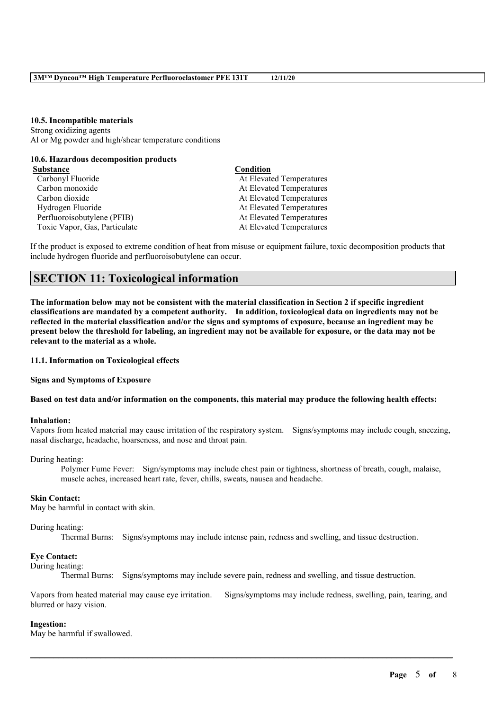**10.5. Incompatible materials** Strong oxidizing agents Al or Mg powder and high/shear temperature conditions

## **10.6. Hazardous decomposition products Substance Condition** Carbonyl Fluoride At Elevated Temperatures Carbon monoxide At Elevated Temperatures Carbon dioxide At Elevated Temperatures Hydrogen Fluoride At Elevated Temperatures Perfluoroisobutylene (PFIB) At Elevated Temperatures Toxic Vapor, Gas, Particulate At Elevated Temperatures

If the product is exposed to extreme condition of heat from misuse or equipment failure, toxic decomposition products that include hydrogen fluoride and perfluoroisobutylene can occur.

# **SECTION 11: Toxicological information**

The information below may not be consistent with the material classification in Section 2 if specific ingredient **classifications are mandated by a competent authority. In addition, toxicological data on ingredients may not be** reflected in the material classification and/or the signs and symptoms of exposure, because an ingredient may be present below the threshold for labeling, an ingredient may not be available for exposure, or the data may not be **relevant to the material as a whole.**

**11.1. Information on Toxicological effects**

**Signs and Symptoms of Exposure**

#### Based on test data and/or information on the components, this material may produce the following health effects:

#### **Inhalation:**

Vapors from heated material may cause irritation of the respiratory system. Signs/symptoms may include cough, sneezing, nasal discharge, headache, hoarseness, and nose and throat pain.

#### During heating:

Polymer Fume Fever: Sign/symptoms may include chest pain or tightness, shortness of breath, cough, malaise, muscle aches, increased heart rate, fever, chills, sweats, nausea and headache.

#### **Skin Contact:**

May be harmful in contact with skin.

## During heating:

Thermal Burns: Signs/symptoms may include intense pain, redness and swelling, and tissue destruction.

## **Eye Contact:**

During heating:

Thermal Burns: Signs/symptoms may include severe pain, redness and swelling, and tissue destruction.

Vapors from heated material may cause eye irritation. Signs/symptoms may include redness, swelling, pain, tearing, and blurred or hazy vision.

 $\mathcal{L}_\mathcal{L} = \mathcal{L}_\mathcal{L} = \mathcal{L}_\mathcal{L} = \mathcal{L}_\mathcal{L} = \mathcal{L}_\mathcal{L} = \mathcal{L}_\mathcal{L} = \mathcal{L}_\mathcal{L} = \mathcal{L}_\mathcal{L} = \mathcal{L}_\mathcal{L} = \mathcal{L}_\mathcal{L} = \mathcal{L}_\mathcal{L} = \mathcal{L}_\mathcal{L} = \mathcal{L}_\mathcal{L} = \mathcal{L}_\mathcal{L} = \mathcal{L}_\mathcal{L} = \mathcal{L}_\mathcal{L} = \mathcal{L}_\mathcal{L}$ 

#### **Ingestion:**

May be harmful if swallowed.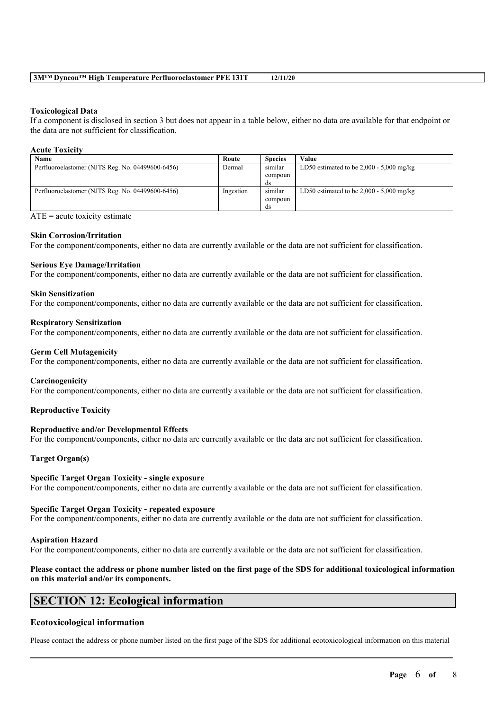#### **Toxicological Data**

If a component is disclosed in section 3 but does not appear in a table below, either no data are available for that endpoint or the data are not sufficient for classification.

## **Acute Toxicity**

| Name                                             | Route     | <b>Species</b> | Value                                      |
|--------------------------------------------------|-----------|----------------|--------------------------------------------|
| Perfluoroelastomer (NJTS Reg. No. 04499600-6456) | Dermal    | similar        | LD50 estimated to be $2,000 - 5,000$ mg/kg |
|                                                  |           | compoun        |                                            |
|                                                  |           | ds             |                                            |
| Perfluoroelastomer (NJTS Reg. No. 04499600-6456) | Ingestion | similar        | LD50 estimated to be $2,000 - 5,000$ mg/kg |
|                                                  |           | compoun        |                                            |
|                                                  |           | ds             |                                            |

 $ATE = acute$  toxicity estimate

## **Skin Corrosion/Irritation**

For the component/components, either no data are currently available or the data are not sufficient for classification.

#### **Serious Eye Damage/Irritation**

For the component/components, either no data are currently available or the data are not sufficient for classification.

#### **Skin Sensitization**

For the component/components, either no data are currently available or the data are not sufficient for classification.

### **Respiratory Sensitization**

For the component/components, either no data are currently available or the data are not sufficient for classification.

#### **Germ Cell Mutagenicity**

For the component/components, either no data are currently available or the data are not sufficient for classification.

#### **Carcinogenicity**

For the component/components, either no data are currently available or the data are not sufficient for classification.

## **Reproductive Toxicity**

#### **Reproductive and/or Developmental Effects**

For the component/components, either no data are currently available or the data are not sufficient for classification.

### **Target Organ(s)**

#### **Specific Target Organ Toxicity - single exposure**

For the component/components, either no data are currently available or the data are not sufficient for classification.

#### **Specific Target Organ Toxicity - repeated exposure**

For the component/components, either no data are currently available or the data are not sufficient for classification.

### **Aspiration Hazard**

For the component/components, either no data are currently available or the data are not sufficient for classification.

### Please contact the address or phone number listed on the first page of the SDS for additional toxicological information **on this material and/or its components.**

# **SECTION 12: Ecological information**

## **Ecotoxicological information**

 $\mathcal{L}_\mathcal{L} = \mathcal{L}_\mathcal{L} = \mathcal{L}_\mathcal{L} = \mathcal{L}_\mathcal{L} = \mathcal{L}_\mathcal{L} = \mathcal{L}_\mathcal{L} = \mathcal{L}_\mathcal{L} = \mathcal{L}_\mathcal{L} = \mathcal{L}_\mathcal{L} = \mathcal{L}_\mathcal{L} = \mathcal{L}_\mathcal{L} = \mathcal{L}_\mathcal{L} = \mathcal{L}_\mathcal{L} = \mathcal{L}_\mathcal{L} = \mathcal{L}_\mathcal{L} = \mathcal{L}_\mathcal{L} = \mathcal{L}_\mathcal{L}$ Please contact the address or phone number listed on the first page of the SDS for additional ecotoxicological information on this material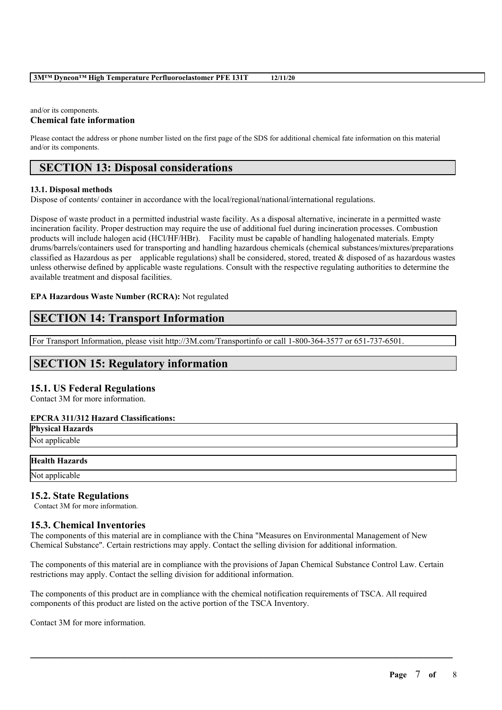and/or its components. **Chemical fate information**

Please contact the address or phone number listed on the first page of the SDS for additional chemical fate information on this material and/or its components.

# **SECTION 13: Disposal considerations**

## **13.1. Disposal methods**

Dispose of contents/ container in accordance with the local/regional/national/international regulations.

Dispose of waste product in a permitted industrial waste facility. As a disposal alternative, incinerate in a permitted waste incineration facility. Proper destruction may require the use of additional fuel during incineration processes. Combustion products will include halogen acid (HCl/HF/HBr). Facility must be capable of handling halogenated materials. Empty drums/barrels/containers used for transporting and handling hazardous chemicals (chemical substances/mixtures/preparations classified as Hazardous as per applicable regulations) shall be considered, stored, treated  $\&$  disposed of as hazardous wastes unless otherwise defined by applicable waste regulations. Consult with the respective regulating authorities to determine the available treatment and disposal facilities.

## **EPA Hazardous Waste Number (RCRA):** Not regulated

# **SECTION 14: Transport Information**

For Transport Information, please visit http://3M.com/Transportinfo or call 1-800-364-3577 or 651-737-6501.

# **SECTION 15: Regulatory information**

## **15.1. US Federal Regulations**

Contact 3M for more information.

## **EPCRA 311/312 Hazard Classifications:**

| <b>Physical Hazards</b> |  |  |
|-------------------------|--|--|
| Not applicable          |  |  |
| <b>Health Hazards</b>   |  |  |
| Not applicable          |  |  |

## **15.2. State Regulations**

Contact 3M for more information.

## **15.3. Chemical Inventories**

The components of this material are in compliance with the China "Measures on Environmental Management of New Chemical Substance". Certain restrictions may apply. Contact the selling division for additional information.

The components of this material are in compliance with the provisions of Japan Chemical Substance Control Law. Certain restrictions may apply. Contact the selling division for additional information.

 $\mathcal{L}_\mathcal{L} = \mathcal{L}_\mathcal{L} = \mathcal{L}_\mathcal{L} = \mathcal{L}_\mathcal{L} = \mathcal{L}_\mathcal{L} = \mathcal{L}_\mathcal{L} = \mathcal{L}_\mathcal{L} = \mathcal{L}_\mathcal{L} = \mathcal{L}_\mathcal{L} = \mathcal{L}_\mathcal{L} = \mathcal{L}_\mathcal{L} = \mathcal{L}_\mathcal{L} = \mathcal{L}_\mathcal{L} = \mathcal{L}_\mathcal{L} = \mathcal{L}_\mathcal{L} = \mathcal{L}_\mathcal{L} = \mathcal{L}_\mathcal{L}$ 

The components of this product are in compliance with the chemical notification requirements of TSCA. All required components of this product are listed on the active portion of the TSCA Inventory.

Contact 3M for more information.